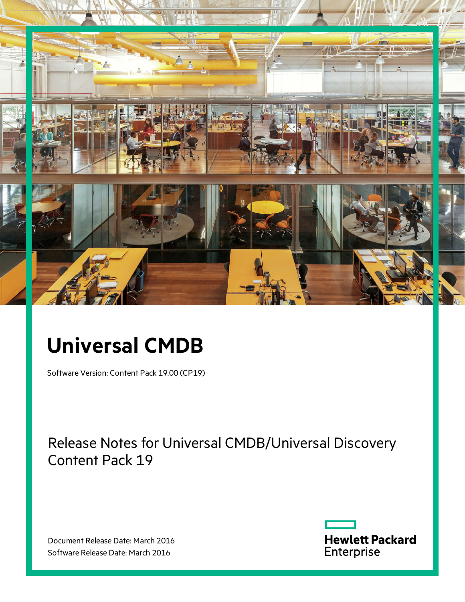

# **Universal CMDB**

Software Version: Content Pack 19.00 (CP19)

Release Notes for Universal CMDB/Universal Discovery Content Pack 19

Document Release Date: March 2016 Software Release Date: March 2016

**Hewlett Packard** Enterprise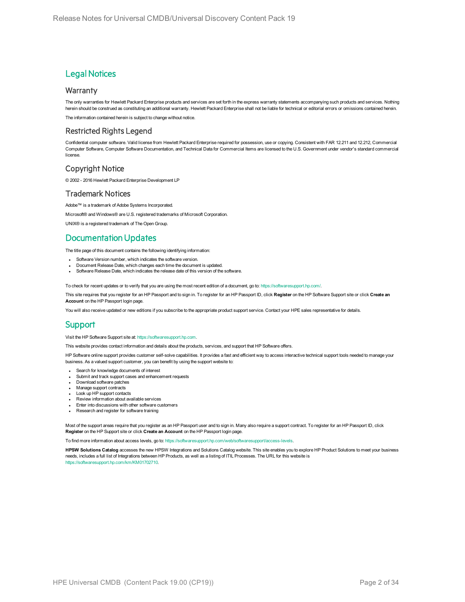### **Legal Notices**

#### **Warranty**

The only warranties for Hewlett Packard Enterprise products and services are set forth in the express warranty statements accompanying such products and services. Nothing herein should be construed as constituting an additional warranty. Hewlett Packard Enterprise shall not be liable for technical or editorial errors or omissions contained herein.

The information contained herein is subject to change without notice.

#### Restricted Rights Legend

Confidential computer software. Valid license from Hewlett Packard Enterprise required for possession, use or copying. Consistent with FAR 12.211 and 12.212, Commercial Computer Software, Computer Software Documentation, and Technical Data for Commercial Items are licensed to the U.S. Government under vendor's standard commercial license.

### Copyright Notice

© 2002 - 2016 Hewlett Packard Enterprise Development LP

#### Trademark Notices

Adobe™ is a trademark of Adobe Systems Incorporated.

Microsoft® and Windows® are U.S. registered trademarks of Microsoft Corporation.

UNIX® is a registered trademark of The Open Group.

### Documentation Updates

The title page of this document contains the following identifying information:

- Software Version number, which indicates the software version.
- Document Release Date, which changes each time the document is updated.
- Software Release Date, which indicates the release date of this version of the software.

To check for recent updates or to verify that you are using the most recent edition of a document, go to: <https://softwaresupport.hp.com/>.

This site requires that you register for an HP Passport and to sign in. To register for an HP Passport ID, click **Register** on the HP Software Support site or click **Create an Account** on the HP Passport login page.

You will also receive updated or new editions if you subscribe to the appropriate product support service. Contact your HPE sales representative for details.

### **Support**

#### Visit the HP Software Support site at: [https://softwaresupport.hp.com](https://softwaresupport.hp.com/).

This website provides contact information and details about the products, services, and support that HP Software offers.

HP Software online support provides customer self-solve capabilities. It provides a fast and efficient way to access interactive technical support tools needed to manage your business. As a valued support customer, you can benefit by using the support website to:

- Search for knowledge documents of interest
- Submit and track support cases and enhancement requests
- Download software patches
- Manage support contracts
- Look up HP support contacts
- Review information about available services
- Enter into discussions with other software customers • Research and register for software training

Most of the support areas require that you register as an HP Passport user and to sign in. Many also require a support contract. To register for an HP Passport ID, click **Register** on the HP Support site or click **Create an Account** on the HP Passport login page.

To find more information about access levels, go to: [https://softwaresupport.hp.com/web/softwaresupport/access-levels.](https://softwaresupport.hp.com/web/softwaresupport/access-levels)

**HPSW Solutions Catalog** accesses the new HPSW Integrations and Solutions Catalog website. This site enables you to explore HP Product Solutions to meet your business needs, includes a full list of Integrations between HP Products, as well as a listing of ITIL Processes. The URL for this website is

[https://softwaresupport.hp.com/km/KM01702710.](https://softwaresupport.hp.com/km/KM01702710)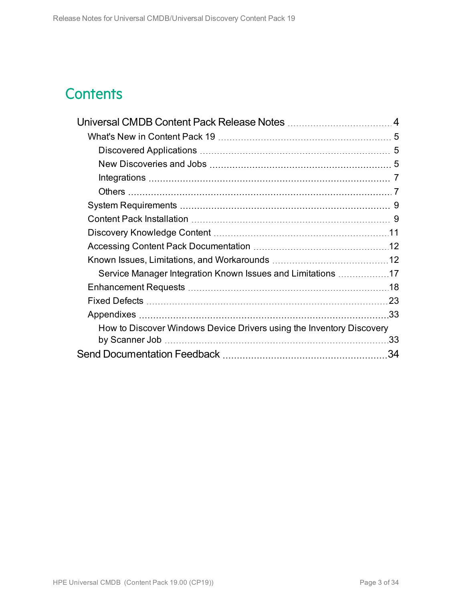# **Contents**

| Service Manager Integration Known Issues and Limitations 17          |     |
|----------------------------------------------------------------------|-----|
|                                                                      |     |
|                                                                      |     |
|                                                                      |     |
| How to Discover Windows Device Drivers using the Inventory Discovery |     |
|                                                                      | .33 |
|                                                                      | 34  |
|                                                                      |     |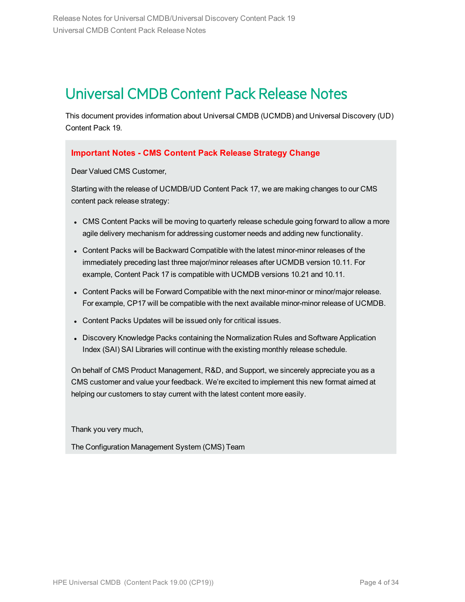# <span id="page-3-0"></span>Universal CMDB Content Pack Release Notes

This document provides information about Universal CMDB (UCMDB) and Universal Discovery (UD) Content Pack 19.

### **Important Notes - CMS Content Pack Release Strategy Change**

Dear Valued CMS Customer,

Starting with the release of UCMDB/UD Content Pack 17, we are making changes to our CMS content pack release strategy:

- CMS Content Packs will be moving to quarterly release schedule going forward to allow a more agile delivery mechanism for addressing customer needs and adding new functionality.
- Content Packs will be Backward Compatible with the latest minor-minor releases of the immediately preceding last three major/minor releases after UCMDB version 10.11. For example, Content Pack 17 is compatible with UCMDB versions 10.21 and 10.11.
- Content Packs will be Forward Compatible with the next minor-minor or minor/major release. For example, CP17 will be compatible with the next available minor-minor release of UCMDB.
- Content Packs Updates will be issued only for critical issues.
- Discovery Knowledge Packs containing the Normalization Rules and Software Application Index (SAI) SAI Libraries will continue with the existing monthly release schedule.

On behalf of CMS Product Management, R&D, and Support, we sincerely appreciate you as a CMS customer and value your feedback. We're excited to implement this new format aimed at helping our customers to stay current with the latest content more easily.

Thank you very much,

The Configuration Management System (CMS) Team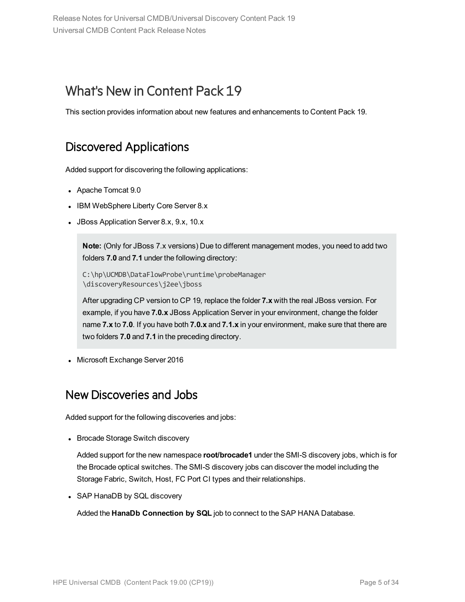# <span id="page-4-0"></span>What's New in Content Pack 19

<span id="page-4-1"></span>This section provides information about new features and enhancements to Content Pack 19.

# Discovered Applications

Added support for discovering the following applications:

- Apache Tomcat 9.0
- IBM WebSphere Liberty Core Server 8.x
- JBoss Application Server 8.x, 9.x, 10.x

**Note:** (Only for JBoss 7.x versions) Due to different management modes, you need to add two folders **7.0** and **7.1** under the following directory:

C:\hp\UCMDB\DataFlowProbe\runtime\probeManager \discoveryResources\j2ee\jboss

After upgrading CP version to CP 19, replace the folder **7.x** with the real JBoss version. For example, if you have **7.0.x** JBoss Application Server in your environment, change the folder name **7.x** to **7.0**. If you have both **7.0.x** and **7.1.x** in your environment, make sure that there are two folders **7.0** and **7.1** in the preceding directory.

<span id="page-4-2"></span>• Microsoft Exchange Server 2016

### New Discoveries and Jobs

Added support for the following discoveries and jobs:

• Brocade Storage Switch discovery

Added support for the new namespace **root/brocade1** under the SMI-S discovery jobs, which is for the Brocade optical switches. The SMI-S discovery jobs can discover the model including the Storage Fabric, Switch, Host, FC Port CI types and their relationships.

• SAP HanaDB by SQL discovery

Added the **HanaDb Connection by SQL** job to connect to the SAP HANA Database.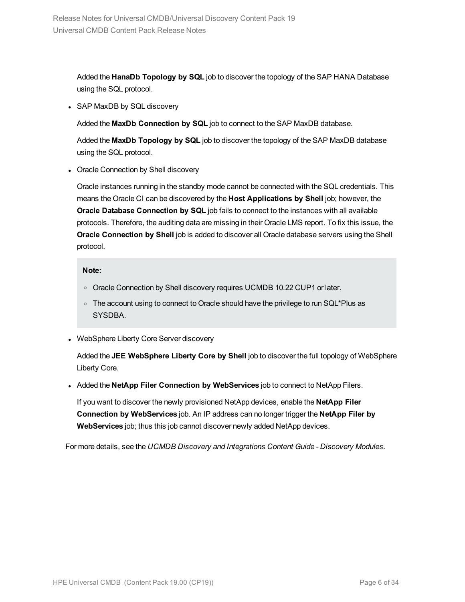Added the **HanaDb Topology by SQL** job to discover the topology of the SAP HANA Database using the SQL protocol.

• SAP MaxDB by SQL discovery

Added the **MaxDb Connection by SQL** job to connect to the SAP MaxDB database.

Added the **MaxDb Topology by SQL** job to discover the topology of the SAP MaxDB database using the SQL protocol.

• Oracle Connection by Shell discovery

Oracle instances running in the standby mode cannot be connected with the SQL credentials. This means the Oracle CI can be discovered by the **Host Applications by Shell** job; however, the **Oracle Database Connection by SQL** job fails to connect to the instances with all available protocols. Therefore, the auditing data are missing in their Oracle LMS report. To fix this issue, the **Oracle Connection by Shell** job is added to discover all Oracle database servers using the Shell protocol.

#### **Note:**

- o Oracle Connection by Shell discovery requires UCMDB 10.22 CUP1 or later.
- The account using to connect to Oracle should have the privilege to run SQL\*Plus as SYSDBA.
- WebSphere Liberty Core Server discovery

Added the **JEE WebSphere Liberty Core by Shell** job to discover the full topology of WebSphere Liberty Core.

<sup>l</sup> Added the **NetApp Filer Connection by WebServices** job to connect to NetApp Filers.

If you want to discover the newly provisioned NetApp devices, enable the **NetApp Filer Connection by WebServices** job. An IP address can no longer trigger the **NetApp Filer by WebServices** job; thus this job cannot discover newly added NetApp devices.

For more details, see the *UCMDB Discovery and Integrations Content Guide - Discovery Modules*.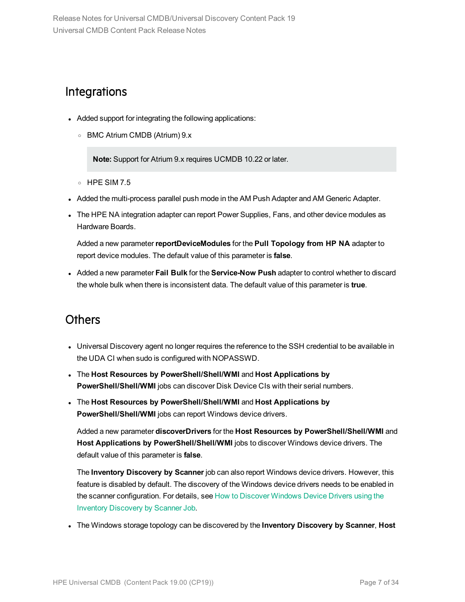## <span id="page-6-0"></span>**Integrations**

- Added support for integrating the following applications:
	- <sup>o</sup> BMC Atrium CMDB (Atrium) 9.x

**Note:** Support for Atrium 9.x requires UCMDB 10.22 or later.

- <sup>o</sup> HPE SIM 7.5
- Added the multi-process parallel push mode in the AM Push Adapter and AM Generic Adapter.
- The HPE NA integration adapter can report Power Supplies, Fans, and other device modules as Hardware Boards.

Added a new parameter**reportDeviceModules** for the **Pull Topology from HP NA** adapter to report device modules. The default value of this parameter is **false**.

<sup>l</sup> Added a new parameter **Fail Bulk** for the **Service-Now Push** adapter to control whether to discard the whole bulk when there is inconsistent data. The default value of this parameter is **true**.

## <span id="page-6-1"></span>**Others**

- Universal Discovery agent no longer requires the reference to the SSH credential to be available in the UDA CI when sudo is configured with NOPASSWD.
- <sup>l</sup> The **Host Resources by PowerShell/Shell/WMI** and **Host Applications by PowerShell/Shell/WMI** jobs can discover Disk Device CIs with their serial numbers.
- <sup>l</sup> The **Host Resources by PowerShell/Shell/WMI** and **Host Applications by PowerShell/Shell/WMI** jobs can report Windows device drivers.

Added a new parameter **discoverDrivers** for the **Host Resources by PowerShell/Shell/WMI** and **Host Applications by PowerShell/Shell/WMI** jobs to discover Windows device drivers. The default value of this parameter is **false**.

The **Inventory Discovery by Scanner** job can also report Windows device drivers. However, this feature is disabled by default. The discovery of the Windows device drivers needs to be enabled in the scanner configuration. For details, see How to Discover [Windows](#page-32-1) Device Drivers using the Inventory [Discovery](#page-32-1) by Scanner Job.

<sup>l</sup> The Windows storage topology can be discovered by the **Inventory Discovery by Scanner**, **Host**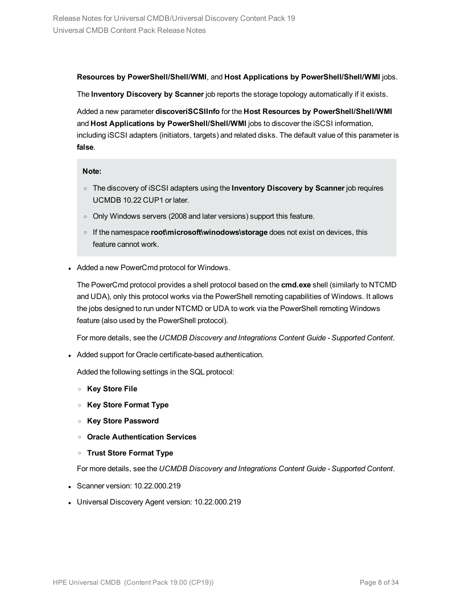#### **Resources by PowerShell/Shell/WMI**, and **Host Applications by PowerShell/Shell/WMI** jobs.

The **Inventory Discovery by Scanner** job reports the storage topology automatically if it exists.

Added a new parameter **discoveriSCSIInfo** for the **Host Resources by PowerShell/Shell/WMI** and **Host Applications by PowerShell/Shell/WMI** jobs to discover the iSCSI information, including iSCSI adapters (initiators, targets) and related disks. The default value of this parameter is **false**.

#### **Note:**

- <sup>o</sup> The discovery of iSCSI adapters using the **Inventory Discovery by Scanner** job requires UCMDB 10.22 CUP1 or later.
- o Only Windows servers (2008 and later versions) support this feature.
- <sup>o</sup> If the namespace **root\microsoft\winodows\storage** does not exist on devices, this feature cannot work.
- Added a new PowerCmd protocol for Windows.

The PowerCmd protocol provides a shell protocol based on the **cmd.exe** shell (similarly to NTCMD and UDA), only this protocol works via the PowerShell remoting capabilities of Windows. It allows the jobs designed to run under NTCMD or UDA to work via the PowerShell remoting Windows feature (also used by the PowerShell protocol).

For more details, see the *UCMDB Discovery and Integrations Content Guide - Supported Content*.

• Added support for Oracle certificate-based authentication.

Added the following settings in the SQL protocol:

- <sup>o</sup> **Key Store File**
- <sup>o</sup> **Key Store Format Type**
- <sup>o</sup> **Key Store Password**
- <sup>o</sup> **Oracle Authentication Services**
- <sup>o</sup> **Trust Store Format Type**

For more details, see the *UCMDB Discovery and Integrations Content Guide - Supported Content*.

- $\bullet$  Scanner version: 10.22.000.219
- Universal Discovery Agent version: 10.22.000.219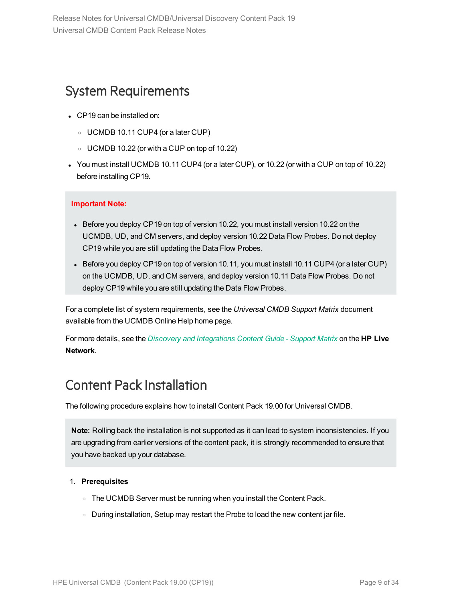# <span id="page-8-0"></span>System Requirements

- CP19 can be installed on:
	- <sup>o</sup> UCMDB 10.11 CUP4 (or a later CUP)
	- $\circ$  UCMDB 10.22 (or with a CUP on top of 10.22)
- You must install UCMDB 10.11 CUP4 (or a later CUP), or 10.22 (or with a CUP on top of 10.22) before installing CP19.

#### **Important Note:**

- Before you deploy CP19 on top of version 10.22, you must install version 10.22 on the UCMDB, UD, and CM servers, and deploy version 10.22 Data Flow Probes. Do not deploy CP19 while you are still updating the Data Flow Probes.
- Before you deploy CP19 on top of version 10.11, you must install 10.11 CUP4 (or a later CUP) on the UCMDB, UD, and CM servers, and deploy version 10.11 Data Flow Probes. Do not deploy CP19 while you are still updating the Data Flow Probes.

For a complete list of system requirements, see the *Universal CMDB Support Matrix* document available from the UCMDB Online Help home page.

For more details, see the *Discovery and [Integrations](https://hpln.hpe.com/node/29199/attachment) Content Guide - Support Matrix* on the **HP Live Network**.

# <span id="page-8-1"></span>Content Pack Installation

The following procedure explains how to install Content Pack 19.00 for Universal CMDB.

**Note:** Rolling back the installation is not supported as it can lead to system inconsistencies. If you are upgrading from earlier versions of the content pack, it is strongly recommended to ensure that you have backed up your database.

#### 1. **Prerequisites**

- $\circ$  The UCMDB Server must be running when you install the Content Pack.
- o During installation, Setup may restart the Probe to load the new content jar file.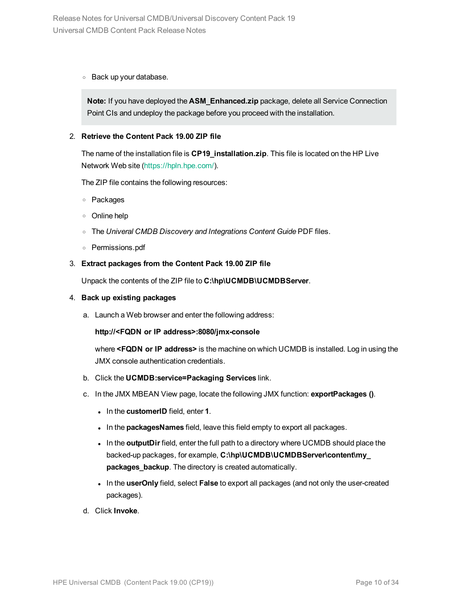<sup>o</sup> Back up your database.

**Note:** If you have deployed the **ASM\_Enhanced.zip** package, delete all Service Connection Point CIs and undeploy the package before you proceed with the installation.

#### 2. **Retrieve the Content Pack 19.00 ZIP file**

The name of the installation file is **CP19\_installation.zip**. This file is located on the HP Live Network Web site [\(https://hpln.hpe.com/](https://hpln.hpe.com/)).

The ZIP file contains the following resources:

- <sup>o</sup> Packages
- <sup>o</sup> Online help
- <sup>o</sup> The *Univeral CMDB Discovery and Integrations Content Guide* PDF files.
- <sup>o</sup> Permissions.pdf

#### 3. **Extract packages from the Content Pack 19.00 ZIP file**

Unpack the contents of the ZIP file to **C:\hp\UCMDB\UCMDBServer**.

#### 4. **Back up existing packages**

a. Launch a Web browser and enter the following address:

#### **http://<FQDN or IP address>:8080/jmx-console**

where **<FQDN or IP address>** is the machine on which UCMDB is installed. Log in using the JMX console authentication credentials.

- b. Click the **UCMDB:service=Packaging Services** link.
- c. In the JMX MBEAN View page, locate the following JMX function: **exportPackages ()**.
	- $\bullet$  In the **customerID** field, enter **1**.
	- . In the **packagesNames** field, leave this field empty to export all packages.
	- . In the **outputDir** field, enter the full path to a directory where UCMDB should place the backed-up packages, for example, **C:\hp\UCMDB\UCMDBServer\content\my\_ packages\_backup**. The directory is created automatically.
	- $\bullet$  In the **userOnly** field, select **False** to export all packages (and not only the user-created packages).
- d. Click **Invoke**.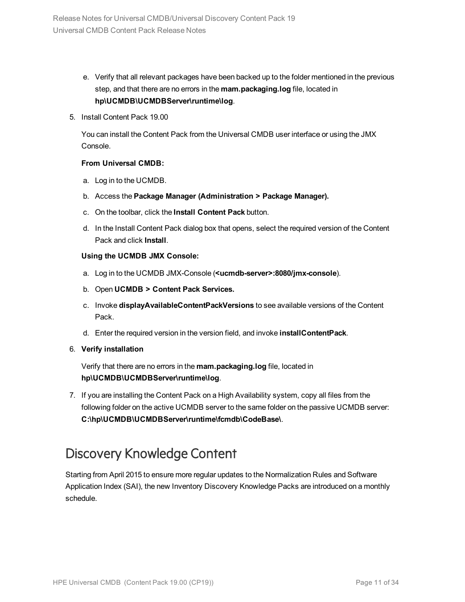- e. Verify that all relevant packages have been backed up to the folder mentioned in the previous step, and that there are no errors in the **mam.packaging.log** file, located in **hp\UCMDB\UCMDBServer\runtime\log**.
- 5. Install Content Pack 19.00

You can install the Content Pack from the Universal CMDB user interface or using the JMX Console.

#### **From Universal CMDB:**

- a. Log in to the UCMDB.
- b. Access the **Package Manager (Administration > Package Manager).**
- c. On the toolbar, click the **Install Content Pack** button.
- d. In the Install Content Pack dialog box that opens, select the required version of the Content Pack and click **Install**.

#### **Using the UCMDB JMX Console:**

- a. Log in to the UCMDB JMX-Console (**<ucmdb-server>:8080/jmx-console**).
- b. Open **UCMDB > Content Pack Services.**
- c. Invoke **displayAvailableContentPackVersions** to see available versions of the Content Pack.
- d. Enter the required version in the version field, and invoke **installContentPack**.

#### 6. **Verify installation**

Verify that there are no errors in the **mam.packaging.log** file, located in **hp\UCMDB\UCMDBServer\runtime\log**.

7. If you are installing the Content Pack on a High Availability system, copy all files from the following folder on the active UCMDB server to the same folder on the passive UCMDB server: **C:\hp\UCMDB\UCMDBServer\runtime\fcmdb\CodeBase\**.

# <span id="page-10-0"></span>Discovery Knowledge Content

Starting from April 2015 to ensure more regular updates to the Normalization Rules and Software Application Index (SAI), the new Inventory Discovery Knowledge Packs are introduced on a monthly schedule.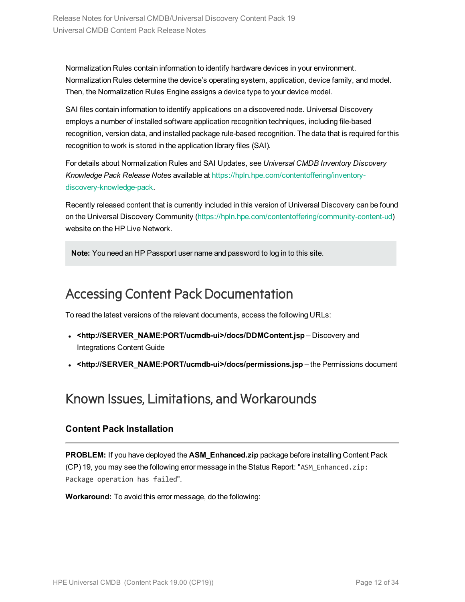Normalization Rules contain information to identify hardware devices in your environment. Normalization Rules determine the device's operating system, application, device family, and model. Then, the Normalization Rules Engine assigns a device type to your device model.

SAI files contain information to identify applications on a discovered node. Universal Discovery employs a number of installed software application recognition techniques, including file-based recognition, version data, and installed package rule-based recognition. The data that is required for this recognition to work is stored in the application library files (SAI).

For details about Normalization Rules and SAI Updates, see *Universal CMDB Inventory Discovery Knowledge Pack Release Notes* available at [https://hpln.hpe.com/contentoffering/inventory](https://hpln.hpe.com/contentoffering/inventory-discovery-knowledge-pack)[discovery-knowledge-pack.](https://hpln.hpe.com/contentoffering/inventory-discovery-knowledge-pack)

Recently released content that is currently included in this version of Universal Discovery can be found on the Universal Discovery Community [\(https://hpln.hpe.com/contentoffering/community-content-ud\)](https://hpln.hpe.com/contentoffering/community-content-ud) website on the HP Live Network.

**Note:** You need an HP Passport user name and password to log in to this site.

# <span id="page-11-0"></span>Accessing Content Pack Documentation

To read the latest versions of the relevant documents, access the following URLs:

- <sup>l</sup> **<http://SERVER\_NAME:PORT/ucmdb-ui>/docs/DDMContent.jsp** Discovery and Integrations Content Guide
- **<http://SERVER\_NAME:PORT/ucmdb-ui>/docs/permissions.jsp** the Permissions document

# <span id="page-11-1"></span>Known Issues, Limitations, and Workarounds

### **Content Pack Installation**

**PROBLEM:** If you have deployed the **ASM\_Enhanced.zip** package before installing Content Pack (CP) 19, you may see the following error message in the Status Report: "ASM\_Enhanced.zip: Package operation has failed".

**Workaround:** To avoid this error message, do the following: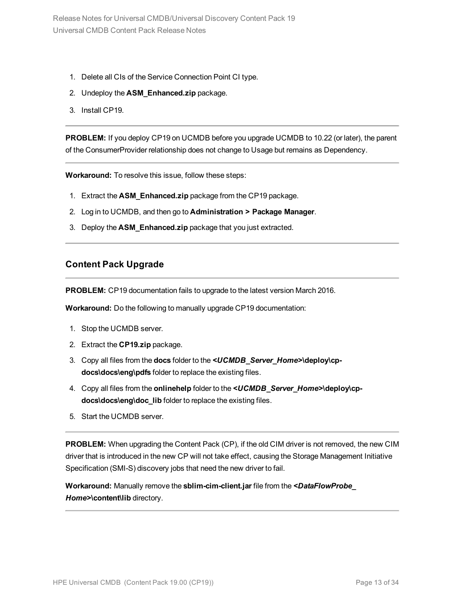- 1. Delete all CIs of the Service Connection Point CI type.
- 2. Undeploy the **ASM\_Enhanced.zip** package.
- 3. Install CP19.

**PROBLEM:** If you deploy CP19 on UCMDB before you upgrade UCMDB to 10.22 (or later), the parent of the ConsumerProvider relationship does not change to Usage but remains as Dependency.

**Workaround:** To resolve this issue, follow these steps:

- 1. Extract the **ASM\_Enhanced.zip** package from the CP19 package.
- 2. Log in to UCMDB, and then go to **Administration > Package Manager**.
- 3. Deploy the **ASM\_Enhanced.zip** package that you just extracted.

### **Content Pack Upgrade**

**PROBLEM:** CP19 documentation fails to upgrade to the latest version March 2016.

**Workaround:** Do the following to manually upgrade CP19 documentation:

- 1. Stop the UCMDB server.
- 2. Extract the **CP19.zip** package.
- 3. Copy all files from the **docs** folder to the *<UCMDB\_Server\_Home>***\deploy\cpdocs\docs\eng\pdfs** folder to replace the existing files.
- 4. Copy all files from the **onlinehelp** folder to the *<UCMDB\_Server\_Home>***\deploy\cpdocs\docs\eng\doc\_lib** folder to replace the existing files.
- 5. Start the UCMDB server.

**PROBLEM:** When upgrading the Content Pack (CP), if the old CIM driver is not removed, the new CIM driver that is introduced in the new CP will not take effect, causing the Storage Management Initiative Specification (SMI-S) discovery jobs that need the new driver to fail.

**Workaround:** Manually remove the **sblim-cim-client.jar** file from the *<DataFlowProbe\_ Home>***\content\lib** directory.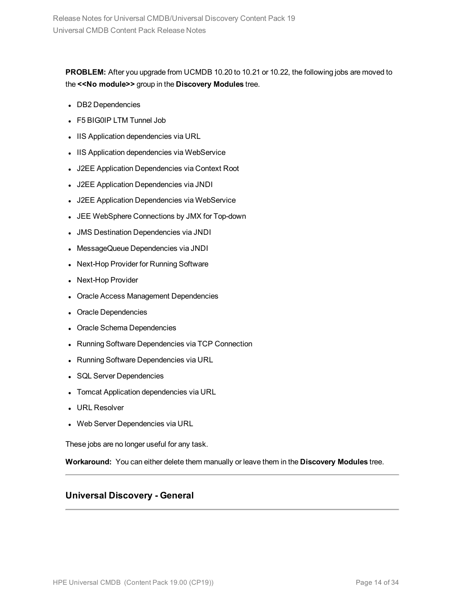**PROBLEM:** After you upgrade from UCMDB 10.20 to 10.21 or 10.22, the following jobs are moved to the **<<No module>>** group in the **Discovery Modules** tree.

- DB2 Dependencies
- F5 BIG0IP LTM Tunnel Job
- IIS Application dependencies via URL
- IIS Application dependencies via WebService
- J2EE Application Dependencies via Context Root
- <sup>l</sup> J2EE Application Dependencies via JNDI
- J2EE Application Dependencies via WebService
- JEE WebSphere Connections by JMX for Top-down
- **.** JMS Destination Dependencies via JNDI
- MessageQueue Dependencies via JNDI
- Next-Hop Provider for Running Software
- Next-Hop Provider
- Oracle Access Management Dependencies
- Oracle Dependencies
- Oracle Schema Dependencies
- Running Software Dependencies via TCP Connection
- Running Software Dependencies via URL
- SQL Server Dependencies
- Tomcat Application dependencies via URL
- URL Resolver
- Web Server Dependencies via URL

These jobs are no longer useful for any task.

**Workaround:** You can either delete them manually or leave them in the **Discovery Modules** tree.

### **Universal Discovery - General**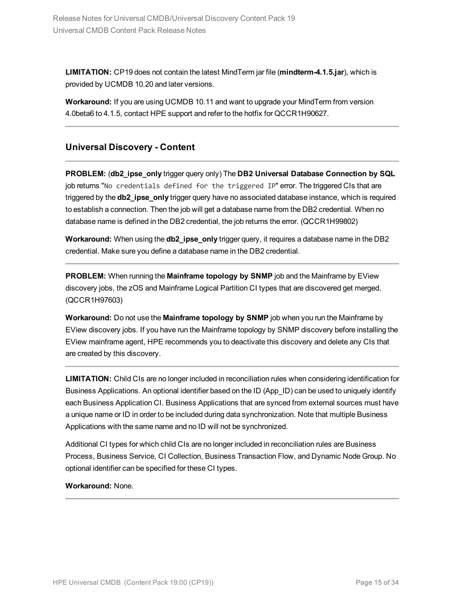**LIMITATION:** CP19 does not contain the latest MindTerm jar file (**mindterm-4.1.5.jar**), which is provided by UCMDB 10.20 and later versions.

**Workaround:** If you are using UCMDB 10.11 and want to upgrade your MindTerm from version 4.0beta6 to 4.1.5, contact HPE support and refer to the hotfix for QCCR1H90627.

### **Universal Discovery - Content**

**PROBLEM:** (**db2\_ipse\_only** trigger query only) The **DB2 Universal Database Connection by SQL** job returns "No credentials defined for the triggered IP" error. The triggered CIs that are triggered by the **db2** ipse only trigger query have no associated database instance, which is required to establish a connection. Then the job will get a database name from the DB2 credential. When no database name is defined in the DB2 credential, the job returns the error. (QCCR1H99802)

**Workaround:** When using the **db2** ipse only trigger query, it requires a database name in the DB2 credential. Make sure you define a database name in the DB2 credential.

**PROBLEM:** When running the **Mainframe topology by SNMP** job and the Mainframe by EView discovery jobs, the zOS and Mainframe Logical Partition CI types that are discovered get merged. (QCCR1H97603)

**Workaround:** Do not use the **Mainframe topology by SNMP** job when you run the Mainframe by EView discovery jobs. If you have run the Mainframe topology by SNMP discovery before installing the EView mainframe agent, HPE recommends you to deactivate this discovery and delete any CIs that are created by this discovery.

**LIMITATION:** Child CIs are no longer included in reconciliation rules when considering identification for Business Applications. An optional identifier based on the ID (App\_ID) can be used to uniquely identify each Business Application CI. Business Applications that are synced from external sources must have a unique name or ID in order to be included during data synchronization. Note that multiple Business Applications with the same name and no ID will not be synchronized.

Additional CI types for which child CIs are no longer included in reconciliation rules are Business Process, Business Service, CI Collection, Business Transaction Flow, and Dynamic Node Group. No optional identifier can be specified for these CI types.

#### **Workaround:** None.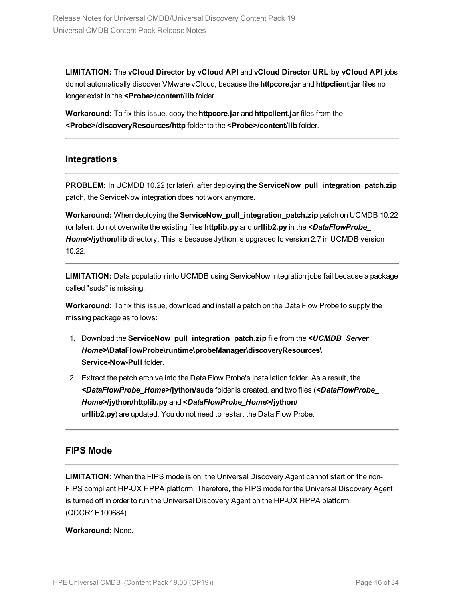**LIMITATION:** The **vCloud Director by vCloud API** and **vCloud Director URL by vCloud API** jobs do not automatically discover VMware vCloud, because the **httpcore.jar** and **httpclient.jar** files no longer exist in the **<Probe>/content/lib** folder.

**Workaround:** To fix this issue, copy the **httpcore.jar** and **httpclient.jar** files from the **<Probe>/discoveryResources/http** folder to the **<Probe>/content/lib** folder.

### **Integrations**

**PROBLEM:** In UCMDB 10.22 (or later), after deploying the **ServiceNow\_pull\_integration\_patch.zip** patch, the ServiceNow integration does not work anymore.

**Workaround:** When deploying the **ServiceNow\_pull\_integration\_patch.zip** patch on UCMDB 10.22 (or later), do not overwrite the existing files **httplib.py** and **urllib2.py** in the *<DataFlowProbe\_ Home>***/jython/lib** directory. This is because Jython is upgraded to version 2.7 in UCMDB version 10.22.

**LIMITATION:** Data population into UCMDB using ServiceNow integration jobs fail because a package called "suds" is missing.

**Workaround:** To fix this issue, download and install a patch on the Data Flow Probe to supply the missing package as follows:

- 1. Download the **ServiceNow\_pull\_integration\_patch.zip** file from the *<UCMDB\_Server\_ Home>***\DataFlowProbe\runtime\probeManager\discoveryResources\ Service-Now-Pull** folder.
- 2. Extract the patch archive into the Data Flow Probe's installation folder. As a result, the *<DataFlowProbe\_Home>***/jython/suds** folder is created, and two files (*<DataFlowProbe\_ Home>***/jython/httplib.py** and *<DataFlowProbe\_Home>***/jython/ urllib2.py**) are updated. You do not need to restart the Data Flow Probe.

### **FIPS Mode**

**LIMITATION:** When the FIPS mode is on, the Universal Discovery Agent cannot start on the non-FIPS compliant HP-UX HPPA platform. Therefore, the FIPS mode for the Universal Discovery Agent is turned off in order to run the Universal Discovery Agent on the HP-UX HPPA platform. (QCCR1H100684)

**Workaround:** None.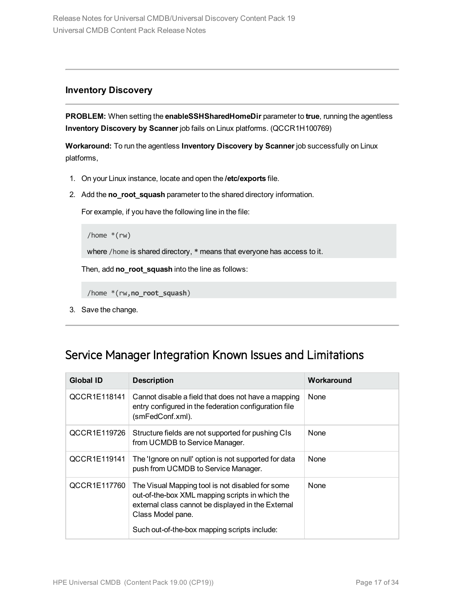### **Inventory Discovery**

**PROBLEM:** When setting the **enableSSHSharedHomeDir** parameter to **true**, running the agentless **Inventory Discovery by Scanner** job fails on Linux platforms. (QCCR1H100769)

**Workaround:** To run the agentless **Inventory Discovery by Scanner** job successfully on Linux platforms,

- 1. On your Linux instance, locate and open the **/etc/exports** file.
- 2. Add the **no\_root\_squash** parameter to the shared directory information.

For example, if you have the following line in the file:

```
/home *(rw)
```
where /home is shared directory, **\*** means that everyone has access to it.

Then, add **no\_root\_squash** into the line as follows:

```
/home *(rw,no_root_squash)
```
<span id="page-16-0"></span>3. Save the change.

### Service Manager Integration Known Issues and Limitations

| <b>Global ID</b> | <b>Description</b>                                                                                                                                                             | Workaround  |
|------------------|--------------------------------------------------------------------------------------------------------------------------------------------------------------------------------|-------------|
| QCCR1E118141     | Cannot disable a field that does not have a mapping<br>entry configured in the federation configuration file<br>(smFedConf.xml).                                               | None        |
| QCCR1E119726     | Structure fields are not supported for pushing CIs<br>from UCMDB to Service Manager.                                                                                           | None        |
| QCCR1E119141     | The 'Ignore on null' option is not supported for data<br>push from UCMDB to Service Manager.                                                                                   | <b>None</b> |
| QCCR1E117760     | The Visual Mapping tool is not disabled for some<br>out-of-the-box XML mapping scripts in which the<br>external class cannot be displayed in the External<br>Class Model pane. | None        |
|                  | Such out-of-the-box mapping scripts include:                                                                                                                                   |             |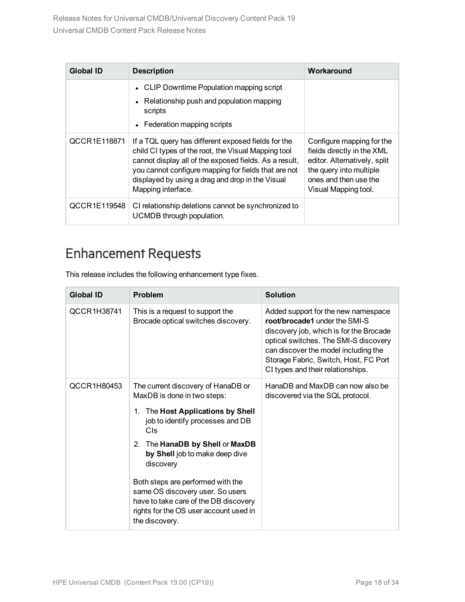| <b>Global ID</b> | <b>Description</b>                                                                                                                                                                                                                                                                                     | Workaround                                                                                                                                                          |
|------------------|--------------------------------------------------------------------------------------------------------------------------------------------------------------------------------------------------------------------------------------------------------------------------------------------------------|---------------------------------------------------------------------------------------------------------------------------------------------------------------------|
|                  | • CLIP Downtime Population mapping script                                                                                                                                                                                                                                                              |                                                                                                                                                                     |
|                  | Relationship push and population mapping<br>scripts                                                                                                                                                                                                                                                    |                                                                                                                                                                     |
|                  | Federation mapping scripts                                                                                                                                                                                                                                                                             |                                                                                                                                                                     |
| QCCR1E118871     | If a TQL query has different exposed fields for the<br>child CI types of the root, the Visual Mapping tool<br>cannot display all of the exposed fields. As a result,<br>you cannot configure mapping for fields that are not<br>displayed by using a drag and drop in the Visual<br>Mapping interface. | Configure mapping for the<br>fields directly in the XML<br>editor. Alternatively, split<br>the query into multiple<br>ones and then use the<br>Visual Mapping tool. |
| QCCR1E119548     | CI relationship deletions cannot be synchronized to<br>UCMDB through population.                                                                                                                                                                                                                       |                                                                                                                                                                     |

# <span id="page-17-0"></span>Enhancement Requests

This release includes the following enhancement type fixes.

| <b>Global ID</b> | <b>Problem</b>                                                                                                                                                             | <b>Solution</b>                                                                                                                                                                                                                                                                |
|------------------|----------------------------------------------------------------------------------------------------------------------------------------------------------------------------|--------------------------------------------------------------------------------------------------------------------------------------------------------------------------------------------------------------------------------------------------------------------------------|
| QCCR1H38741      | This is a request to support the<br>Brocade optical switches discovery.                                                                                                    | Added support for the new namespace<br>root/brocade1 under the SMI-S<br>discovery job, which is for the Brocade<br>optical switches. The SMI-S discovery<br>can discover the model including the<br>Storage Fabric, Switch, Host, FC Port<br>CI types and their relationships. |
| QCCR1H80453      | The current discovery of HanaDB or<br>MaxDB is done in two steps:                                                                                                          | HanaDB and MaxDB can now also be<br>discovered via the SQL protocol.                                                                                                                                                                                                           |
|                  | The Host Applications by Shell<br>1.<br>job to identify processes and DB<br>Cls                                                                                            |                                                                                                                                                                                                                                                                                |
|                  | The HanaDB by Shell or MaxDB<br>2.<br>by Shell job to make deep dive<br>discovery                                                                                          |                                                                                                                                                                                                                                                                                |
|                  | Both steps are performed with the<br>same OS discovery user. So users<br>have to take care of the DB discovery<br>rights for the OS user account used in<br>the discovery. |                                                                                                                                                                                                                                                                                |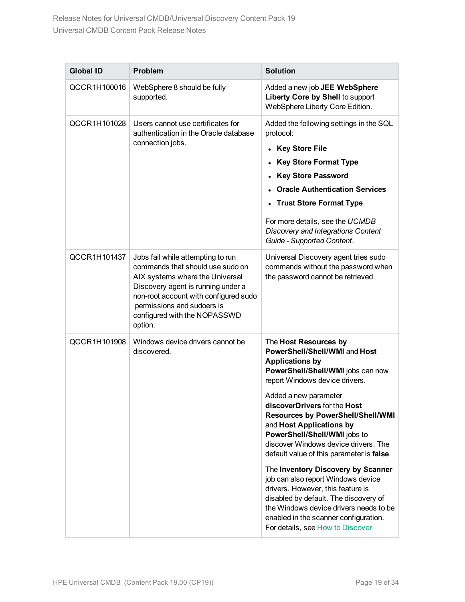| <b>Global ID</b> | <b>Problem</b>                                                                                                                                                                                                                                                   | <b>Solution</b>                                                                                                                                                                                                                                                                                                                                                                                                                                                                                                                                                                                                                                                                                |
|------------------|------------------------------------------------------------------------------------------------------------------------------------------------------------------------------------------------------------------------------------------------------------------|------------------------------------------------------------------------------------------------------------------------------------------------------------------------------------------------------------------------------------------------------------------------------------------------------------------------------------------------------------------------------------------------------------------------------------------------------------------------------------------------------------------------------------------------------------------------------------------------------------------------------------------------------------------------------------------------|
| QCCR1H100016     | WebSphere 8 should be fully<br>supported.                                                                                                                                                                                                                        | Added a new job JEE WebSphere<br>Liberty Core by Shell to support<br>WebSphere Liberty Core Edition.                                                                                                                                                                                                                                                                                                                                                                                                                                                                                                                                                                                           |
| QCCR1H101028     | Users cannot use certificates for<br>authentication in the Oracle database<br>connection jobs.                                                                                                                                                                   | Added the following settings in the SQL<br>protocol:<br><b>Key Store File</b><br>$\bullet$<br><b>Key Store Format Type</b><br><b>Key Store Password</b><br><b>Oracle Authentication Services</b><br><b>Trust Store Format Type</b><br>For more details, see the UCMDB<br>Discovery and Integrations Content<br>Guide - Supported Content.                                                                                                                                                                                                                                                                                                                                                      |
| QCCR1H101437     | Jobs fail while attempting to run<br>commands that should use sudo on<br>AIX systems where the Universal<br>Discovery agent is running under a<br>non-root account with configured sudo<br>permissions and sudoers is<br>configured with the NOPASSWD<br>option. | Universal Discovery agent tries sudo<br>commands without the password when<br>the password cannot be retrieved.                                                                                                                                                                                                                                                                                                                                                                                                                                                                                                                                                                                |
| QCCR1H101908     | Windows device drivers cannot be<br>discovered.                                                                                                                                                                                                                  | The Host Resources by<br>PowerShell/Shell/WMI and Host<br><b>Applications by</b><br>PowerShell/Shell/WMI jobs can now<br>report Windows device drivers.<br>Added a new parameter<br>discoverDrivers for the Host<br><b>Resources by PowerShell/Shell/WMI</b><br>and Host Applications by<br>PowerShell/Shell/WMI jobs to<br>discover Windows device drivers. The<br>default value of this parameter is false.<br>The Inventory Discovery by Scanner<br>job can also report Windows device<br>drivers. However, this feature is<br>disabled by default. The discovery of<br>the Windows device drivers needs to be<br>enabled in the scanner configuration.<br>For details, see How to Discover |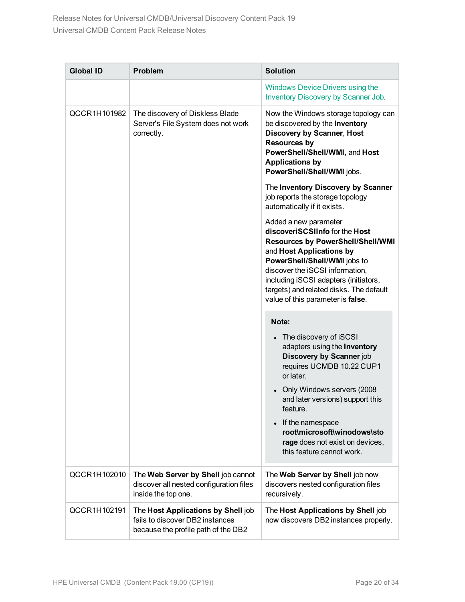| <b>Global ID</b> | Problem                                                                                                      | <b>Solution</b>                                                                                                                                                                                                                                                                                                             |
|------------------|--------------------------------------------------------------------------------------------------------------|-----------------------------------------------------------------------------------------------------------------------------------------------------------------------------------------------------------------------------------------------------------------------------------------------------------------------------|
|                  |                                                                                                              | <b>Windows Device Drivers using the</b><br>Inventory Discovery by Scanner Job.                                                                                                                                                                                                                                              |
| QCCR1H101982     | The discovery of Diskless Blade<br>Server's File System does not work<br>correctly.                          | Now the Windows storage topology can<br>be discovered by the Inventory<br><b>Discovery by Scanner, Host</b><br><b>Resources by</b><br>PowerShell/Shell/WMI, and Host<br><b>Applications by</b><br>PowerShell/Shell/WMI jobs.                                                                                                |
|                  |                                                                                                              | The Inventory Discovery by Scanner<br>job reports the storage topology<br>automatically if it exists.                                                                                                                                                                                                                       |
|                  |                                                                                                              | Added a new parameter<br>discoveriSCSIInfo for the Host<br><b>Resources by PowerShell/Shell/WMI</b><br>and Host Applications by<br>PowerShell/Shell/WMI jobs to<br>discover the iSCSI information,<br>including iSCSI adapters (initiators,<br>targets) and related disks. The default<br>value of this parameter is false. |
|                  |                                                                                                              | Note:                                                                                                                                                                                                                                                                                                                       |
|                  |                                                                                                              | • The discovery of iSCSI<br>adapters using the Inventory<br>Discovery by Scanner job<br>requires UCMDB 10.22 CUP1<br>or later.<br>Only Windows servers (2008<br>and later versions) support this<br>feature.                                                                                                                |
|                  |                                                                                                              | If the namespace<br>root\microsoft\winodows\sto<br>rage does not exist on devices,<br>this feature cannot work.                                                                                                                                                                                                             |
| QCCR1H102010     | The Web Server by Shell job cannot<br>discover all nested configuration files<br>inside the top one.         | The Web Server by Shell job now<br>discovers nested configuration files<br>recursively.                                                                                                                                                                                                                                     |
| QCCR1H102191     | The Host Applications by Shell job<br>fails to discover DB2 instances<br>because the profile path of the DB2 | The Host Applications by Shell job<br>now discovers DB2 instances properly.                                                                                                                                                                                                                                                 |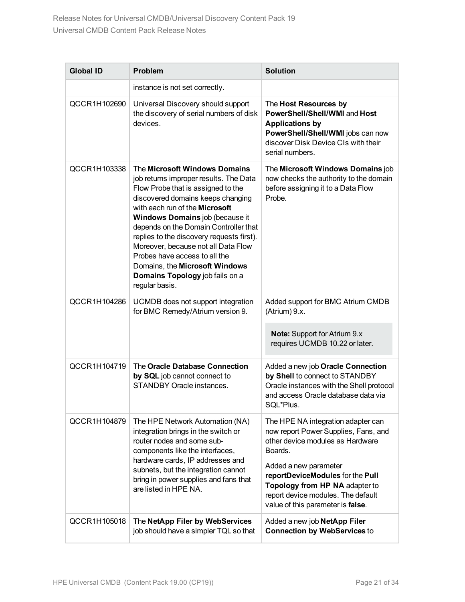| <b>Global ID</b> | <b>Problem</b>                                                                                                                                                                                                                                                                                                                                                                                                                                                                      | <b>Solution</b>                                                                                                                                                                                                                                                                                     |
|------------------|-------------------------------------------------------------------------------------------------------------------------------------------------------------------------------------------------------------------------------------------------------------------------------------------------------------------------------------------------------------------------------------------------------------------------------------------------------------------------------------|-----------------------------------------------------------------------------------------------------------------------------------------------------------------------------------------------------------------------------------------------------------------------------------------------------|
|                  | instance is not set correctly.                                                                                                                                                                                                                                                                                                                                                                                                                                                      |                                                                                                                                                                                                                                                                                                     |
| QCCR1H102690     | Universal Discovery should support<br>the discovery of serial numbers of disk<br>devices.                                                                                                                                                                                                                                                                                                                                                                                           | The Host Resources by<br>PowerShell/Shell/WMI and Host<br><b>Applications by</b><br>PowerShell/Shell/WMI jobs can now<br>discover Disk Device CIs with their<br>serial numbers.                                                                                                                     |
| QCCR1H103338     | The Microsoft Windows Domains<br>job returns improper results. The Data<br>Flow Probe that is assigned to the<br>discovered domains keeps changing<br>with each run of the <b>Microsoft</b><br>Windows Domains job (because it<br>depends on the Domain Controller that<br>replies to the discovery requests first).<br>Moreover, because not all Data Flow<br>Probes have access to all the<br>Domains, the Microsoft Windows<br>Domains Topology job fails on a<br>regular basis. | The Microsoft Windows Domains job<br>now checks the authority to the domain<br>before assigning it to a Data Flow<br>Probe.                                                                                                                                                                         |
| QCCR1H104286     | UCMDB does not support integration<br>for BMC Remedy/Atrium version 9.                                                                                                                                                                                                                                                                                                                                                                                                              | Added support for BMC Atrium CMDB<br>(Atrium) 9.x.<br><b>Note:</b> Support for Atrium 9.x                                                                                                                                                                                                           |
|                  |                                                                                                                                                                                                                                                                                                                                                                                                                                                                                     | requires UCMDB 10.22 or later.                                                                                                                                                                                                                                                                      |
| QCCR1H104719     | The Oracle Database Connection<br>by SQL job cannot connect to<br>STANDBY Oracle instances.                                                                                                                                                                                                                                                                                                                                                                                         | Added a new job Oracle Connection<br>by Shell to connect to STANDBY<br>Oracle instances with the Shell protocol<br>and access Oracle database data via<br>SQL*Plus.                                                                                                                                 |
| QCCR1H104879     | The HPE Network Automation (NA)<br>integration brings in the switch or<br>router nodes and some sub-<br>components like the interfaces,<br>hardware cards, IP addresses and<br>subnets, but the integration cannot<br>bring in power supplies and fans that<br>are listed in HPE NA.                                                                                                                                                                                                | The HPE NA integration adapter can<br>now report Power Supplies, Fans, and<br>other device modules as Hardware<br>Boards.<br>Added a new parameter<br>reportDeviceModules for the Pull<br>Topology from HP NA adapter to<br>report device modules. The default<br>value of this parameter is false. |
| QCCR1H105018     | The NetApp Filer by WebServices<br>job should have a simpler TQL so that                                                                                                                                                                                                                                                                                                                                                                                                            | Added a new job NetApp Filer<br><b>Connection by WebServices to</b>                                                                                                                                                                                                                                 |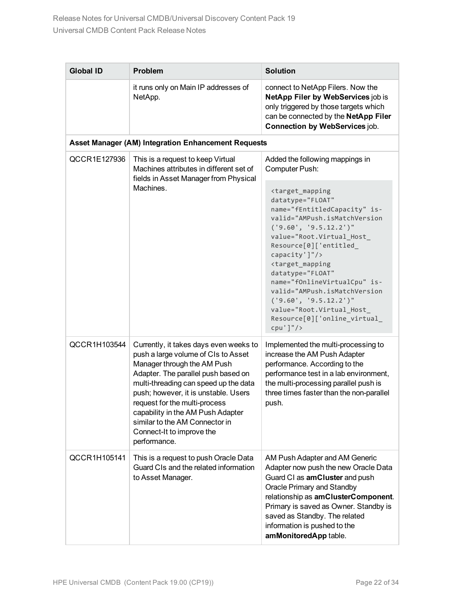| <b>Global ID</b> | <b>Problem</b>                                                                                                                                                                                                                                                                                                                                                                            | <b>Solution</b>                                                                                                                                                                                                                                                                                                                                                                                                                                                                                                                              |
|------------------|-------------------------------------------------------------------------------------------------------------------------------------------------------------------------------------------------------------------------------------------------------------------------------------------------------------------------------------------------------------------------------------------|----------------------------------------------------------------------------------------------------------------------------------------------------------------------------------------------------------------------------------------------------------------------------------------------------------------------------------------------------------------------------------------------------------------------------------------------------------------------------------------------------------------------------------------------|
|                  | it runs only on Main IP addresses of<br>NetApp.                                                                                                                                                                                                                                                                                                                                           | connect to NetApp Filers. Now the<br>NetApp Filer by WebServices job is<br>only triggered by those targets which<br>can be connected by the NetApp Filer<br><b>Connection by WebServices job.</b>                                                                                                                                                                                                                                                                                                                                            |
|                  | Asset Manager (AM) Integration Enhancement Requests                                                                                                                                                                                                                                                                                                                                       |                                                                                                                                                                                                                                                                                                                                                                                                                                                                                                                                              |
| QCCR1E127936     | This is a request to keep Virtual<br>Machines attributes in different set of<br>fields in Asset Manager from Physical<br>Machines.                                                                                                                                                                                                                                                        | Added the following mappings in<br>Computer Push:<br><target_mapping<br>datatype="FLOAT"<br/>name="fEntitledCapacity" is-<br/>valid="AMPush.isMatchVersion<br/>('9.60', '9.5.12.2')''<br/>value="Root.Virtual_Host_<br/>Resource[0]['entitled_<br/>capacity']"/&gt;<br/><target_mapping<br>datatype="FLOAT"<br/>name="fOnlineVirtualCpu" is-<br/>valid="AMPush.isMatchVersion<br/>('9.60', '9.5.12.2')''<br/>value="Root.Virtual_Host_<br/>Resource[0]['online_virtual_<br/><math>cpu'</math>]"/&gt;</target_mapping<br></target_mapping<br> |
| QCCR1H103544     | Currently, it takes days even weeks to<br>push a large volume of CIs to Asset<br>Manager through the AM Push<br>Adapter. The parallel push based on<br>multi-threading can speed up the data<br>push; however, it is unstable. Users<br>request for the multi-process<br>capability in the AM Push Adapter<br>similar to the AM Connector in<br>Connect-It to improve the<br>performance. | Implemented the multi-processing to<br>increase the AM Push Adapter<br>performance. According to the<br>performance test in a lab environment,<br>the multi-processing parallel push is<br>three times faster than the non-parallel<br>push.                                                                                                                                                                                                                                                                                                 |
| QCCR1H105141     | This is a request to push Oracle Data<br>Guard CIs and the related information<br>to Asset Manager.                                                                                                                                                                                                                                                                                       | AM Push Adapter and AM Generic<br>Adapter now push the new Oracle Data<br>Guard CI as amCluster and push<br>Oracle Primary and Standby<br>relationship as amClusterComponent.<br>Primary is saved as Owner. Standby is<br>saved as Standby. The related<br>information is pushed to the<br>amMonitoredApp table.                                                                                                                                                                                                                             |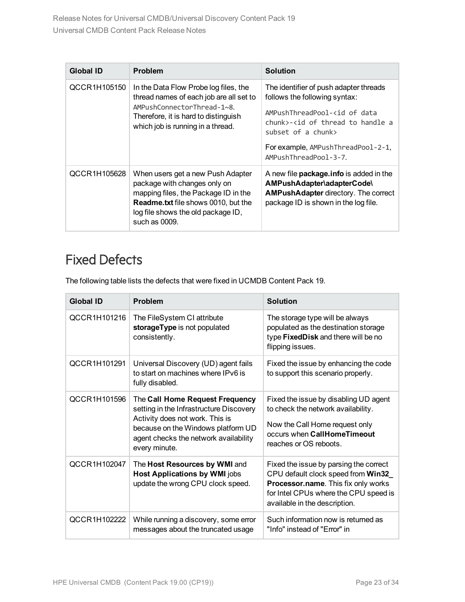| <b>Global ID</b> | <b>Problem</b>                                                                                                                                                                                                 | <b>Solution</b>                                                                                                                                                                                                                                                         |
|------------------|----------------------------------------------------------------------------------------------------------------------------------------------------------------------------------------------------------------|-------------------------------------------------------------------------------------------------------------------------------------------------------------------------------------------------------------------------------------------------------------------------|
| QCCR1H105150     | In the Data Flow Probe log files, the<br>thread names of each job are all set to<br>AMPushConnectorThread-1~8.<br>Therefore, it is hard to distinguish<br>which job is running in a thread.                    | The identifier of push adapter threads<br>follows the following syntax:<br>AMPushThreadPool- <id data<br="" of="">chunk&gt;-<id a<br="" handle="" of="" thread="" to="">subset of a chunk&gt;<br/>For example, AMPushThreadPool-2-1,<br/>AMPushThreadPool-3-7</id></id> |
| QCCR1H105628     | When users get a new Push Adapter<br>package with changes only on<br>mapping files, the Package ID in the<br><b>Readme.txt</b> file shows 0010, but the<br>log file shows the old package ID,<br>such as 0009. | A new file <b>package.info</b> is added in the<br>AMPushAdapter\adapterCode\<br><b>AMPushAdapter directory. The correct</b><br>package ID is shown in the log file.                                                                                                     |

# <span id="page-22-0"></span>Fixed Defects

The following table lists the defects that were fixed in UCMDB Content Pack 19.

| <b>Global ID</b> | <b>Problem</b>                                                                                                                                                                                                | <b>Solution</b>                                                                                                                                                                               |
|------------------|---------------------------------------------------------------------------------------------------------------------------------------------------------------------------------------------------------------|-----------------------------------------------------------------------------------------------------------------------------------------------------------------------------------------------|
| QCCR1H101216     | The FileSystem CI attribute<br>storageType is not populated<br>consistently.                                                                                                                                  | The storage type will be always<br>populated as the destination storage<br>type FixedDisk and there will be no<br>flipping issues.                                                            |
| QCCR1H101291     | Universal Discovery (UD) agent fails<br>to start on machines where IPv6 is<br>fully disabled.                                                                                                                 | Fixed the issue by enhancing the code<br>to support this scenario properly.                                                                                                                   |
| QCCR1H101596     | The Call Home Request Frequency<br>setting in the Infrastructure Discovery<br>Activity does not work. This is<br>because on the Windows platform UD<br>agent checks the network availability<br>every minute. | Fixed the issue by disabling UD agent<br>to check the network availability.<br>Now the Call Home request only<br>occurs when CallHomeTimeout<br>reaches or OS reboots.                        |
| QCCR1H102047     | The Host Resources by WMI and<br><b>Host Applications by WMI jobs</b><br>update the wrong CPU clock speed.                                                                                                    | Fixed the issue by parsing the correct<br>CPU default clock speed from Win32<br>Processor.name. This fix only works<br>for Intel CPUs where the CPU speed is<br>available in the description. |
| QCCR1H102222     | While running a discovery, some error<br>messages about the truncated usage                                                                                                                                   | Such information now is returned as<br>"Info" instead of "Error" in                                                                                                                           |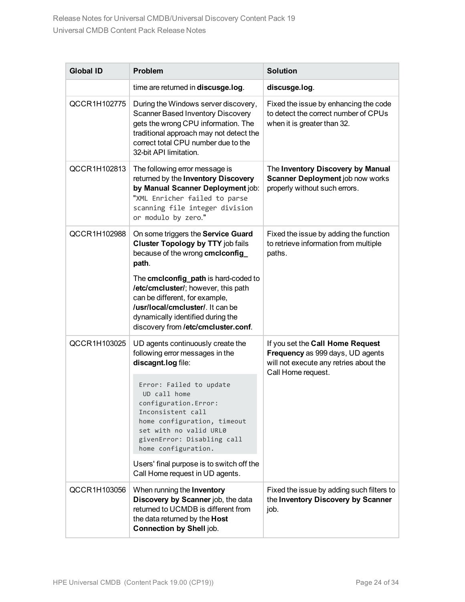| <b>Global ID</b> | <b>Problem</b>                                                                                                                                                                                                                                                                                                                                              | <b>Solution</b>                                                                                                                      |
|------------------|-------------------------------------------------------------------------------------------------------------------------------------------------------------------------------------------------------------------------------------------------------------------------------------------------------------------------------------------------------------|--------------------------------------------------------------------------------------------------------------------------------------|
|                  | time are returned in discusge.log.                                                                                                                                                                                                                                                                                                                          | discusge.log.                                                                                                                        |
| QCCR1H102775     | During the Windows server discovery,<br><b>Scanner Based Inventory Discovery</b><br>gets the wrong CPU information. The<br>traditional approach may not detect the<br>correct total CPU number due to the<br>32-bit API limitation.                                                                                                                         | Fixed the issue by enhancing the code<br>to detect the correct number of CPUs<br>when it is greater than 32.                         |
| QCCR1H102813     | The following error message is<br>returned by the Inventory Discovery<br>by Manual Scanner Deployment job:<br>"XML Enricher failed to parse<br>scanning file integer division<br>or modulo by zero."                                                                                                                                                        | The Inventory Discovery by Manual<br>Scanner Deployment job now works<br>properly without such errors.                               |
| QCCR1H102988     | On some triggers the Service Guard<br><b>Cluster Topology by TTY job fails</b><br>because of the wrong cmclconfig<br>path.<br>The cmclconfig_path is hard-coded to<br>/etc/cmcluster/; however, this path<br>can be different, for example,<br>/usr/local/cmcluster/. It can be<br>dynamically identified during the<br>discovery from /etc/cmcluster.conf. | Fixed the issue by adding the function<br>to retrieve information from multiple<br>paths.                                            |
| QCCR1H103025     | UD agents continuously create the<br>following error messages in the<br>discagnt.log file:                                                                                                                                                                                                                                                                  | If you set the Call Home Request<br>Frequency as 999 days, UD agents<br>will not execute any retries about the<br>Call Home request. |
|                  | Error: Failed to update<br>UD call home<br>configuration. Error:<br>Inconsistent call<br>home configuration, timeout<br>set with no valid URL0<br>givenError: Disabling call<br>home configuration.                                                                                                                                                         |                                                                                                                                      |
|                  | Users' final purpose is to switch off the<br>Call Home request in UD agents.                                                                                                                                                                                                                                                                                |                                                                                                                                      |
| QCCR1H103056     | When running the Inventory<br>Discovery by Scanner job, the data<br>returned to UCMDB is different from<br>the data returned by the Host<br><b>Connection by Shell job.</b>                                                                                                                                                                                 | Fixed the issue by adding such filters to<br>the Inventory Discovery by Scanner<br>job.                                              |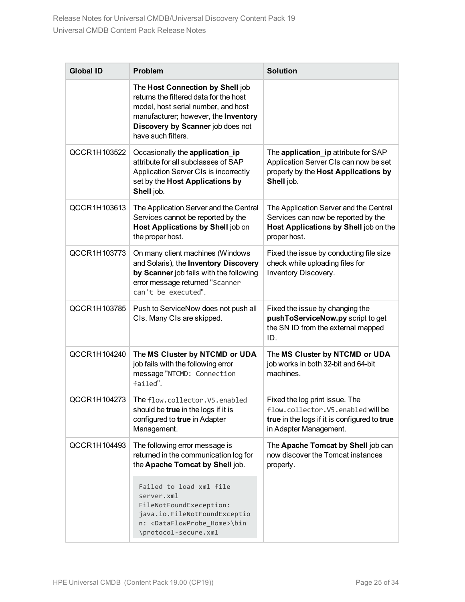| <b>Global ID</b> | Problem                                                                                                                                                                                                              | <b>Solution</b>                                                                                                                               |
|------------------|----------------------------------------------------------------------------------------------------------------------------------------------------------------------------------------------------------------------|-----------------------------------------------------------------------------------------------------------------------------------------------|
|                  | The Host Connection by Shell job<br>returns the filtered data for the host<br>model, host serial number, and host<br>manufacturer; however, the Inventory<br>Discovery by Scanner job does not<br>have such filters. |                                                                                                                                               |
| QCCR1H103522     | Occasionally the application_ip<br>attribute for all subclasses of SAP<br>Application Server CIs is incorrectly<br>set by the Host Applications by<br>Shell job.                                                     | The application_ip attribute for SAP<br>Application Server CIs can now be set<br>properly by the Host Applications by<br>Shell job.           |
| QCCR1H103613     | The Application Server and the Central<br>Services cannot be reported by the<br>Host Applications by Shell job on<br>the proper host.                                                                                | The Application Server and the Central<br>Services can now be reported by the<br>Host Applications by Shell job on the<br>proper host.        |
| QCCR1H103773     | On many client machines (Windows<br>and Solaris), the Inventory Discovery<br>by Scanner job fails with the following<br>error message returned "Scanner<br>can't be executed".                                       | Fixed the issue by conducting file size<br>check while uploading files for<br>Inventory Discovery.                                            |
| QCCR1H103785     | Push to ServiceNow does not push all<br>CIs. Many CIs are skipped.                                                                                                                                                   | Fixed the issue by changing the<br>pushToServiceNow.py script to get<br>the SN ID from the external mapped<br>ID.                             |
| QCCR1H104240     | The MS Cluster by NTCMD or UDA<br>job fails with the following error<br>message "NTCMD: Connection<br>failed".                                                                                                       | The MS Cluster by NTCMD or UDA<br>job works in both 32-bit and 64-bit<br>machines.                                                            |
| QCCR1H104273     | The flow.collector.V5.enabled<br>should be true in the logs if it is<br>configured to true in Adapter<br>Management.                                                                                                 | Fixed the log print issue. The<br>flow.collector.V5.enabled will be<br>true in the logs if it is configured to true<br>in Adapter Management. |
| QCCR1H104493     | The following error message is<br>returned in the communication log for<br>the Apache Tomcat by Shell job.                                                                                                           | The Apache Tomcat by Shell job can<br>now discover the Tomcat instances<br>properly.                                                          |
|                  | Failed to load xml file<br>server.xml<br>FileNotFoundExeception:<br>java.io.FileNotFoundExceptio<br>n: <dataflowprobe_home>\bin<br/>\protocol-secure.xml</dataflowprobe_home>                                        |                                                                                                                                               |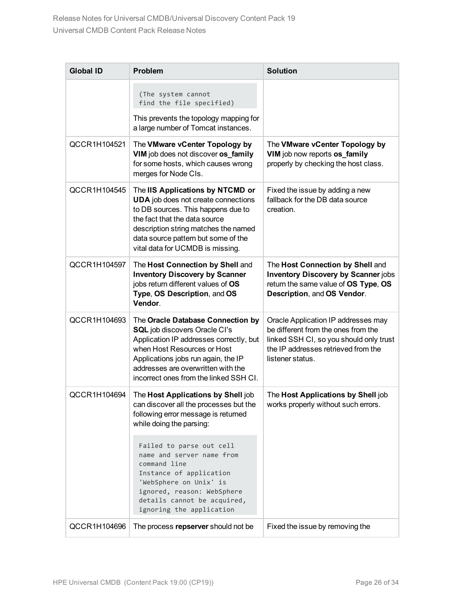| <b>Global ID</b> | <b>Problem</b>                                                                                                                                                                                                                                                             | <b>Solution</b>                                                                                                                                                                  |
|------------------|----------------------------------------------------------------------------------------------------------------------------------------------------------------------------------------------------------------------------------------------------------------------------|----------------------------------------------------------------------------------------------------------------------------------------------------------------------------------|
|                  | (The system cannot<br>find the file specified)                                                                                                                                                                                                                             |                                                                                                                                                                                  |
|                  | This prevents the topology mapping for<br>a large number of Tomcat instances.                                                                                                                                                                                              |                                                                                                                                                                                  |
| QCCR1H104521     | The VMware vCenter Topology by<br>VIM job does not discover os_family<br>for some hosts, which causes wrong<br>merges for Node CIs.                                                                                                                                        | The VMware vCenter Topology by<br>VIM job now reports os_family<br>properly by checking the host class.                                                                          |
| QCCR1H104545     | The IIS Applications by NTCMD or<br><b>UDA</b> job does not create connections<br>to DB sources. This happens due to<br>the fact that the data source<br>description string matches the named<br>data source pattern but some of the<br>vital data for UCMDB is missing.   | Fixed the issue by adding a new<br>fallback for the DB data source<br>creation.                                                                                                  |
| QCCR1H104597     | The Host Connection by Shell and<br><b>Inventory Discovery by Scanner</b><br>jobs return different values of OS<br>Type, OS Description, and OS<br>Vendor.                                                                                                                 | The Host Connection by Shell and<br><b>Inventory Discovery by Scanner jobs</b><br>return the same value of OS Type, OS<br>Description, and OS Vendor.                            |
| QCCR1H104693     | The Oracle Database Connection by<br><b>SQL</b> job discovers Oracle CI's<br>Application IP addresses correctly, but<br>when Host Resources or Host<br>Applications jobs run again, the IP<br>addresses are overwritten with the<br>incorrect ones from the linked SSH CI. | Oracle Application IP addresses may<br>be different from the ones from the<br>linked SSH CI, so you should only trust<br>the IP addresses retrieved from the<br>listener status. |
| QCCR1H104694     | The Host Applications by Shell job<br>can discover all the processes but the<br>following error message is returned<br>while doing the parsing:                                                                                                                            | The Host Applications by Shell job<br>works properly without such errors.                                                                                                        |
|                  | Failed to parse out cell<br>name and server name from<br>command line<br>Instance of application<br>'WebSphere on Unix' is<br>ignored, reason: WebSphere<br>details cannot be acquired,<br>ignoring the application                                                        |                                                                                                                                                                                  |
| QCCR1H104696     | The process repserver should not be                                                                                                                                                                                                                                        | Fixed the issue by removing the                                                                                                                                                  |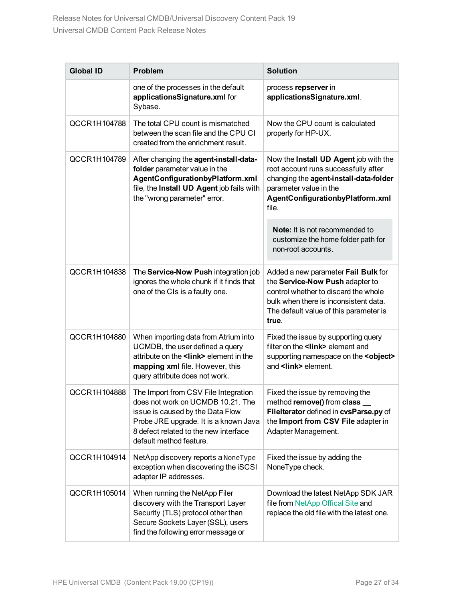| <b>Global ID</b> | Problem                                                                                                                                                                                                                    | <b>Solution</b>                                                                                                                                                                                            |
|------------------|----------------------------------------------------------------------------------------------------------------------------------------------------------------------------------------------------------------------------|------------------------------------------------------------------------------------------------------------------------------------------------------------------------------------------------------------|
|                  | one of the processes in the default<br>applicationsSignature.xml for<br>Sybase.                                                                                                                                            | process repserver in<br>applicationsSignature.xml.                                                                                                                                                         |
| QCCR1H104788     | The total CPU count is mismatched<br>between the scan file and the CPU CI<br>created from the enrichment result.                                                                                                           | Now the CPU count is calculated<br>properly for HP-UX.                                                                                                                                                     |
| QCCR1H104789     | After changing the agent-install-data-<br>folder parameter value in the<br>AgentConfigurationbyPlatform.xml<br>file, the Install UD Agent job fails with<br>the "wrong parameter" error.                                   | Now the Install UD Agent job with the<br>root account runs successfully after<br>changing the agent-install-data-folder<br>parameter value in the<br>AgentConfigurationbyPlatform.xml<br>file.             |
|                  |                                                                                                                                                                                                                            | <b>Note:</b> It is not recommended to<br>customize the home folder path for<br>non-root accounts.                                                                                                          |
| QCCR1H104838     | The Service-Now Push integration job<br>ignores the whole chunk if it finds that<br>one of the CIs is a faulty one.                                                                                                        | Added a new parameter Fail Bulk for<br>the Service-Now Push adapter to<br>control whether to discard the whole<br>bulk when there is inconsistent data.<br>The default value of this parameter is<br>true. |
| QCCR1H104880     | When importing data from Atrium into<br>UCMDB, the user defined a query<br>attribute on the <link/> element in the<br>mapping xml file. However, this<br>query attribute does not work.                                    | Fixed the issue by supporting query<br>filter on the <link/> element and<br>supporting namespace on the <object><br/>and <link/> element.</object>                                                         |
| QCCR1H104888     | The Import from CSV File Integration<br>does not work on UCMDB 10.21. The<br>issue is caused by the Data Flow<br>Probe JRE upgrade. It is a known Java<br>8 defect related to the new interface<br>default method feature. | Fixed the issue by removing the<br>method remove() from class _<br>Filelterator defined in cvsParse.py of<br>the Import from CSV File adapter in<br>Adapter Management.                                    |
| QCCR1H104914     | NetApp discovery reports a NoneType<br>exception when discovering the iSCSI<br>adapter IP addresses.                                                                                                                       | Fixed the issue by adding the<br>NoneType check.                                                                                                                                                           |
| QCCR1H105014     | When running the NetApp Filer<br>discovery with the Transport Layer<br>Security (TLS) protocol other than<br>Secure Sockets Layer (SSL), users<br>find the following error message or                                      | Download the latest NetApp SDK JAR<br>file from NetApp Offical Site and<br>replace the old file with the latest one.                                                                                       |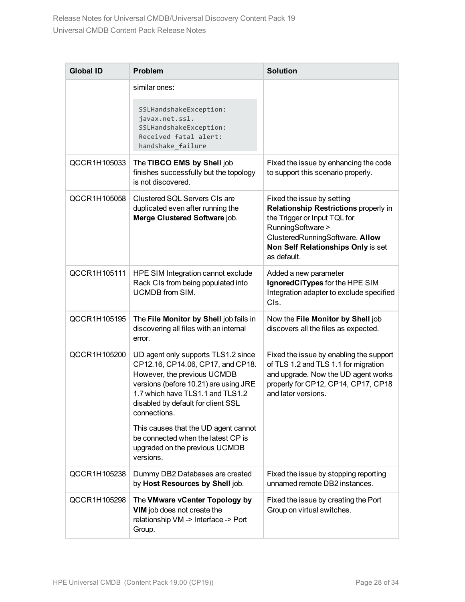| <b>Global ID</b> | Problem                                                                                                                                                                                                                                    | <b>Solution</b>                                                                                                                                                                                                  |
|------------------|--------------------------------------------------------------------------------------------------------------------------------------------------------------------------------------------------------------------------------------------|------------------------------------------------------------------------------------------------------------------------------------------------------------------------------------------------------------------|
|                  | similar ones:                                                                                                                                                                                                                              |                                                                                                                                                                                                                  |
|                  | SSLHandshakeException:<br>javax.net.ssl.<br>SSLHandshakeException:<br>Received fatal alert:<br>handshake_failure                                                                                                                           |                                                                                                                                                                                                                  |
| QCCR1H105033     | The TIBCO EMS by Shell job<br>finishes successfully but the topology<br>is not discovered.                                                                                                                                                 | Fixed the issue by enhancing the code<br>to support this scenario properly.                                                                                                                                      |
| QCCR1H105058     | Clustered SQL Servers CIs are<br>duplicated even after running the<br>Merge Clustered Software job.                                                                                                                                        | Fixed the issue by setting<br>Relationship Restrictions properly in<br>the Trigger or Input TQL for<br>RunningSoftware ><br>ClusteredRunningSoftware. Allow<br>Non Self Relationships Only is set<br>as default. |
| QCCR1H105111     | HPE SIM Integration cannot exclude<br>Rack CIs from being populated into<br><b>UCMDB</b> from SIM.                                                                                                                                         | Added a new parameter<br>IgnoredCiTypes for the HPE SIM<br>Integration adapter to exclude specified<br>CIs.                                                                                                      |
| QCCR1H105195     | The File Monitor by Shell job fails in<br>discovering all files with an internal<br>error.                                                                                                                                                 | Now the File Monitor by Shell job<br>discovers all the files as expected.                                                                                                                                        |
| QCCR1H105200     | UD agent only supports TLS1.2 since<br>CP12.16, CP14.06, CP17, and CP18.<br>However, the previous UCMDB<br>versions (before 10.21) are using JRE<br>1.7 which have TLS1.1 and TLS1.2<br>disabled by default for client SSL<br>connections. | Fixed the issue by enabling the support<br>of TLS 1.2 and TLS 1.1 for migration<br>and upgrade. Now the UD agent works<br>properly for CP12, CP14, CP17, CP18<br>and later versions.                             |
|                  | This causes that the UD agent cannot<br>be connected when the latest CP is<br>upgraded on the previous UCMDB<br>versions.                                                                                                                  |                                                                                                                                                                                                                  |
| QCCR1H105238     | Dummy DB2 Databases are created<br>by Host Resources by Shell job.                                                                                                                                                                         | Fixed the issue by stopping reporting<br>unnamed remote DB2 instances.                                                                                                                                           |
| QCCR1H105298     | The VMware vCenter Topology by<br>VIM job does not create the<br>relationship VM -> Interface -> Port<br>Group.                                                                                                                            | Fixed the issue by creating the Port<br>Group on virtual switches.                                                                                                                                               |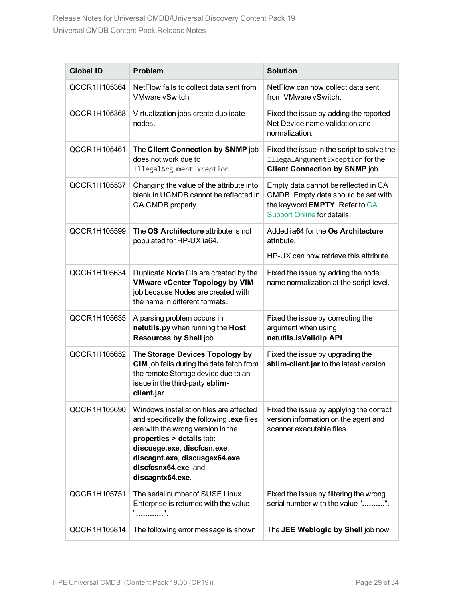| <b>Global ID</b> | <b>Problem</b>                                                                                                                                                                                                                                                      | <b>Solution</b>                                                                                                                              |
|------------------|---------------------------------------------------------------------------------------------------------------------------------------------------------------------------------------------------------------------------------------------------------------------|----------------------------------------------------------------------------------------------------------------------------------------------|
| QCCR1H105364     | NetFlow fails to collect data sent from<br>VMware vSwitch.                                                                                                                                                                                                          | NetFlow can now collect data sent<br>from VMware vSwitch.                                                                                    |
| QCCR1H105368     | Virtualization jobs create duplicate<br>nodes.                                                                                                                                                                                                                      | Fixed the issue by adding the reported<br>Net Device name validation and<br>normalization.                                                   |
| QCCR1H105461     | The Client Connection by SNMP job<br>does not work due to<br>IllegalArgumentException.                                                                                                                                                                              | Fixed the issue in the script to solve the<br>IllegalArgumentException for the<br><b>Client Connection by SNMP job.</b>                      |
| QCCR1H105537     | Changing the value of the attribute into<br>blank in UCMDB cannot be reflected in<br>CA CMDB properly.                                                                                                                                                              | Empty data cannot be reflected in CA<br>CMDB. Empty data should be set with<br>the keyword EMPTY. Refer to CA<br>Support Online for details. |
| QCCR1H105599     | The OS Architecture attribute is not<br>populated for HP-UX ia64.                                                                                                                                                                                                   | Added <b>ja64</b> for the Os Architecture<br>attribute.                                                                                      |
|                  |                                                                                                                                                                                                                                                                     | HP-UX can now retrieve this attribute.                                                                                                       |
| QCCR1H105634     | Duplicate Node CIs are created by the<br><b>VMware vCenter Topology by VIM</b><br>job because Nodes are created with<br>the name in different formats.                                                                                                              | Fixed the issue by adding the node<br>name normalization at the script level.                                                                |
| QCCR1H105635     | A parsing problem occurs in<br>netutils.py when running the Host<br>Resources by Shell job.                                                                                                                                                                         | Fixed the issue by correcting the<br>argument when using<br>netutils.isValidlp API.                                                          |
| QCCR1H105652     | The Storage Devices Topology by<br>CIM job fails during the data fetch from<br>the remote Storage device due to an<br>issue in the third-party sblim-<br>client.jar.                                                                                                | Fixed the issue by upgrading the<br>sblim-client.jar to the latest version.                                                                  |
| QCCR1H105690     | Windows installation files are affected<br>and specifically the following .exe files<br>are with the wrong version in the<br>properties > details tab:<br>discusge.exe, discfcsn.exe,<br>discagnt.exe, discusgex64.exe,<br>discfcsnx64.exe, and<br>discagntx64.exe. | Fixed the issue by applying the correct<br>version information on the agent and<br>scanner executable files.                                 |
| QCCR1H105751     | The serial number of SUSE Linux<br>Enterprise is returned with the value<br>"".                                                                                                                                                                                     | Fixed the issue by filtering the wrong<br>serial number with the value "".                                                                   |
| QCCR1H105814     | The following error message is shown                                                                                                                                                                                                                                | The JEE Weblogic by Shell job now                                                                                                            |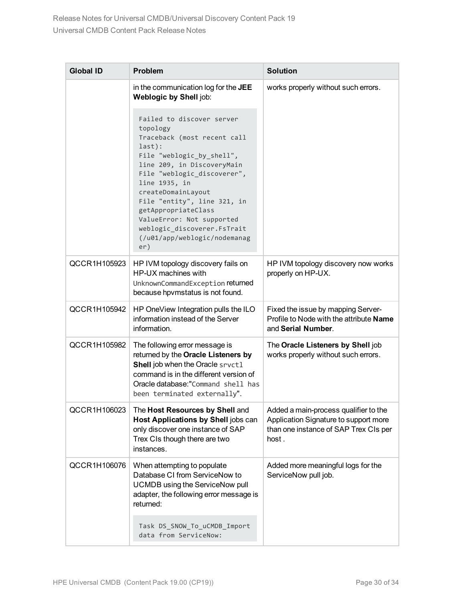| <b>Global ID</b> | Problem                                                                                                                                                                                                                                                                                                                                                                  | <b>Solution</b>                                                                                                                  |
|------------------|--------------------------------------------------------------------------------------------------------------------------------------------------------------------------------------------------------------------------------------------------------------------------------------------------------------------------------------------------------------------------|----------------------------------------------------------------------------------------------------------------------------------|
|                  | in the communication log for the JEE<br>Weblogic by Shell job:                                                                                                                                                                                                                                                                                                           | works properly without such errors.                                                                                              |
|                  | Failed to discover server<br>topology<br>Traceback (most recent call<br>last):<br>File "weblogic_by_shell",<br>line 209, in DiscoveryMain<br>File "weblogic_discoverer",<br>line 1935, in<br>createDomainLayout<br>File "entity", line 321, in<br>getAppropriateClass<br>ValueError: Not supported<br>weblogic_discoverer.FsTrait<br>(/u01/app/weblogic/nodemanag<br>er) |                                                                                                                                  |
| QCCR1H105923     | HP IVM topology discovery fails on<br>HP-UX machines with<br>UnknownCommandException returned<br>because hpvmstatus is not found.                                                                                                                                                                                                                                        | HP IVM topology discovery now works<br>properly on HP-UX.                                                                        |
| QCCR1H105942     | HP OneView Integration pulls the ILO<br>information instead of the Server<br>information.                                                                                                                                                                                                                                                                                | Fixed the issue by mapping Server-<br>Profile to Node with the attribute Name<br>and Serial Number.                              |
| QCCR1H105982     | The following error message is<br>returned by the Oracle Listeners by<br>Shell job when the Oracle srvct1<br>command is in the different version of<br>Oracle database:"Command shell has<br>been terminated externally".                                                                                                                                                | The Oracle Listeners by Shell job<br>works properly without such errors.                                                         |
| QCCR1H106023     | The Host Resources by Shell and<br>Host Applications by Shell jobs can<br>only discover one instance of SAP<br>Trex CIs though there are two<br>instances.                                                                                                                                                                                                               | Added a main-process qualifier to the<br>Application Signature to support more<br>than one instance of SAP Trex CIs per<br>host. |
| QCCR1H106076     | When attempting to populate<br>Database CI from ServiceNow to<br>UCMDB using the ServiceNow pull<br>adapter, the following error message is<br>returned:                                                                                                                                                                                                                 | Added more meaningful logs for the<br>ServiceNow pull job.                                                                       |
|                  | Task DS_SNOW_To_uCMDB_Import<br>data from ServiceNow:                                                                                                                                                                                                                                                                                                                    |                                                                                                                                  |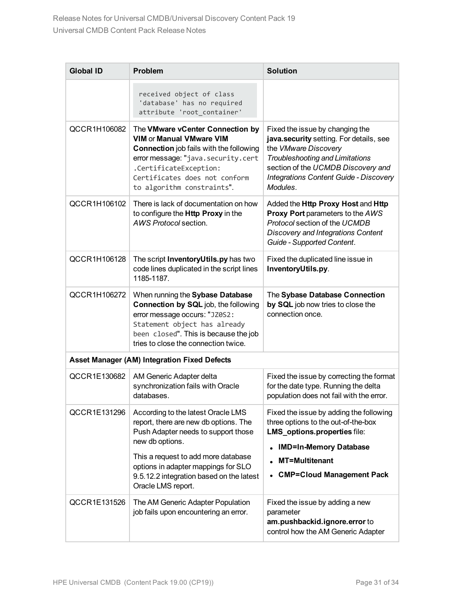| <b>Global ID</b> | <b>Problem</b>                                                                                                                                                                                                                                                                        | <b>Solution</b>                                                                                                                                                                                                                                 |
|------------------|---------------------------------------------------------------------------------------------------------------------------------------------------------------------------------------------------------------------------------------------------------------------------------------|-------------------------------------------------------------------------------------------------------------------------------------------------------------------------------------------------------------------------------------------------|
|                  | received object of class<br>'database' has no required<br>attribute 'root container'                                                                                                                                                                                                  |                                                                                                                                                                                                                                                 |
| QCCR1H106082     | The VMware vCenter Connection by<br><b>VIM or Manual VMware VIM</b><br><b>Connection</b> job fails with the following<br>error message: "java.security.cert<br>.CertificateException:<br>Certificates does not conform<br>to algorithm constraints".                                  | Fixed the issue by changing the<br>java.security setting. For details, see<br>the VMware Discovery<br><b>Troubleshooting and Limitations</b><br>section of the UCMDB Discovery and<br><b>Integrations Content Guide - Discovery</b><br>Modules. |
| QCCR1H106102     | There is lack of documentation on how<br>to configure the Http Proxy in the<br>AWS Protocol section.                                                                                                                                                                                  | Added the Http Proxy Host and Http<br>Proxy Port parameters to the AWS<br>Protocol section of the UCMDB<br>Discovery and Integrations Content<br>Guide - Supported Content.                                                                     |
| QCCR1H106128     | The script InventoryUtils.py has two<br>code lines duplicated in the script lines<br>1185-1187.                                                                                                                                                                                       | Fixed the duplicated line issue in<br>InventoryUtils.py.                                                                                                                                                                                        |
| QCCR1H106272     | When running the Sybase Database<br>Connection by SQL job, the following<br>error message occurs: "JZ0S2:<br>Statement object has already<br>been closed". This is because the job<br>tries to close the connection twice.                                                            | The Sybase Database Connection<br>by SQL job now tries to close the<br>connection once.                                                                                                                                                         |
|                  | <b>Asset Manager (AM) Integration Fixed Defects</b>                                                                                                                                                                                                                                   |                                                                                                                                                                                                                                                 |
| QCCR1E130682     | AM Generic Adapter delta<br>synchronization fails with Oracle<br>databases.                                                                                                                                                                                                           | Fixed the issue by correcting the format<br>for the date type. Running the delta<br>population does not fail with the error.                                                                                                                    |
| QCCR1E131296     | According to the latest Oracle LMS<br>report, there are new db options. The<br>Push Adapter needs to support those<br>new db options.<br>This a request to add more database<br>options in adapter mappings for SLO<br>9.5.12.2 integration based on the latest<br>Oracle LMS report. | Fixed the issue by adding the following<br>three options to the out-of-the-box<br>LMS_options.properties file:<br><b>IMD=In-Memory Database</b><br><b>MT=Multitenant</b><br><b>CMP=Cloud Management Pack</b>                                    |
| QCCR1E131526     | The AM Generic Adapter Population<br>job fails upon encountering an error.                                                                                                                                                                                                            | Fixed the issue by adding a new<br>parameter<br>am.pushbackid.ignore.error to<br>control how the AM Generic Adapter                                                                                                                             |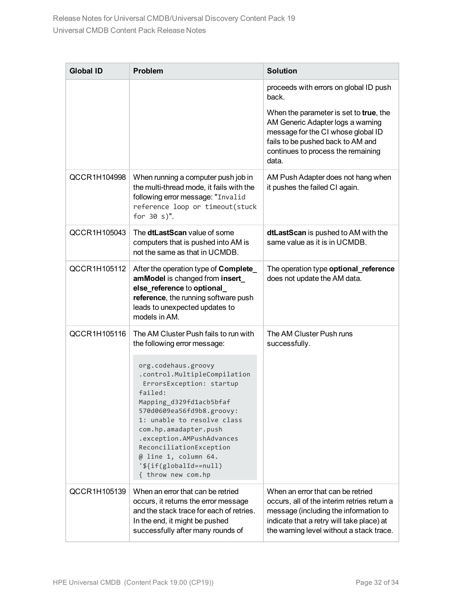| <b>Global ID</b> | <b>Problem</b>                                                                                                                                                                                                                                                                                                                                  | <b>Solution</b>                                                                                                                                                                                                    |
|------------------|-------------------------------------------------------------------------------------------------------------------------------------------------------------------------------------------------------------------------------------------------------------------------------------------------------------------------------------------------|--------------------------------------------------------------------------------------------------------------------------------------------------------------------------------------------------------------------|
|                  |                                                                                                                                                                                                                                                                                                                                                 | proceeds with errors on global ID push<br>back.                                                                                                                                                                    |
|                  |                                                                                                                                                                                                                                                                                                                                                 | When the parameter is set to true, the<br>AM Generic Adapter logs a warning<br>message for the CI whose global ID<br>fails to be pushed back to AM and<br>continues to process the remaining<br>data.              |
| QCCR1H104998     | When running a computer push job in<br>the multi-thread mode, it fails with the<br>following error message: "Invalid<br>reference loop or timeout(stuck<br>for $30 s$ .                                                                                                                                                                         | AM Push Adapter does not hang when<br>it pushes the failed CI again.                                                                                                                                               |
| QCCR1H105043     | The dtLastScan value of some<br>computers that is pushed into AM is<br>not the same as that in UCMDB.                                                                                                                                                                                                                                           | dtLastScan is pushed to AM with the<br>same value as it is in UCMDB.                                                                                                                                               |
| QCCR1H105112     | After the operation type of Complete<br>amModel is changed from insert_<br>else_reference to optional_<br>reference, the running software push<br>leads to unexpected updates to<br>models in AM.                                                                                                                                               | The operation type optional_reference<br>does not update the AM data.                                                                                                                                              |
| QCCR1H105116     | The AM Cluster Push fails to run with<br>the following error message:                                                                                                                                                                                                                                                                           | The AM Cluster Push runs<br>successfully.                                                                                                                                                                          |
|                  | org.codehaus.groovy<br>.control.MultipleCompilation<br>ErrorsException: startup<br>failed:<br>Mapping_d329fd1acb5bfaf<br>570d0609ea56fd9b8.groovy:<br>1: unable to resolve class<br>com.hp.amadapter.push<br>.exception.AMPushAdvances<br>ReconciliationException<br>$@$ line 1, column 64.<br>$'s\{if(globalId == null)$<br>{ throw new com.hp |                                                                                                                                                                                                                    |
| QCCR1H105139     | When an error that can be retried<br>occurs, it returns the error message<br>and the stack trace for each of retries.<br>In the end, it might be pushed<br>successfully after many rounds of                                                                                                                                                    | When an error that can be retried<br>occurs, all of the interim retries return a<br>message (including the information to<br>indicate that a retry will take place) at<br>the warning level without a stack trace. |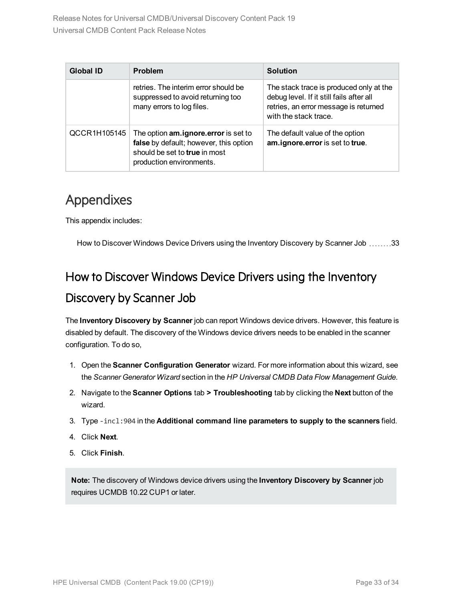| <b>Global ID</b> | <b>Problem</b>                                                                                                                                     | <b>Solution</b>                                                                                                                                       |
|------------------|----------------------------------------------------------------------------------------------------------------------------------------------------|-------------------------------------------------------------------------------------------------------------------------------------------------------|
|                  | retries. The interim error should be<br>suppressed to avoid returning too<br>many errors to log files.                                             | The stack trace is produced only at the<br>debug level. If it still fails after all<br>retries, an error message is returned<br>with the stack trace. |
| QCCR1H105145     | The option <b>am.ignore.error</b> is set to<br>false by default; however, this option<br>should be set to true in most<br>production environments. | The default value of the option<br>am.ignore.error is set to true.                                                                                    |

# <span id="page-32-0"></span>Appendixes

This appendix includes:

<span id="page-32-1"></span>How to Discover Windows Device Drivers using the Inventory [Discovery](#page-32-1) by Scanner Job .......[33](#page-32-1)

# How to Discover Windows Device Drivers using the Inventory Discovery by Scanner Job

The **Inventory Discovery by Scanner** job can report Windows device drivers. However, this feature is disabled by default. The discovery of the Windows device drivers needs to be enabled in the scanner configuration. To do so,

- 1. Open the **Scanner Configuration Generator** wizard. For more information about this wizard, see the *Scanner Generator Wizard* section in the *HP Universal CMDB Data Flow Management Guide*.
- 2. Navigate to the **Scanner Options** tab **> Troubleshooting** tab by clicking the **Next** button of the wizard.
- 3. Type -incl:904 in the **Additional command line parameters to supply to the scanners** field.
- 4. Click **Next**.
- 5. Click **Finish**.

**Note:** The discovery of Windows device drivers using the **Inventory Discovery by Scanner** job requires UCMDB 10.22 CUP1 or later.